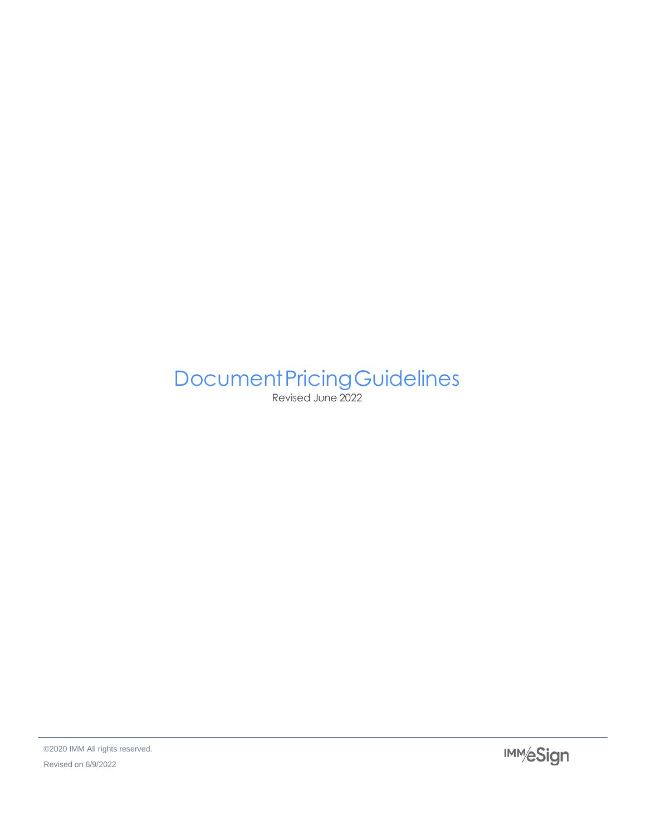# **Document Pricing Guidelines**

Revised June 2022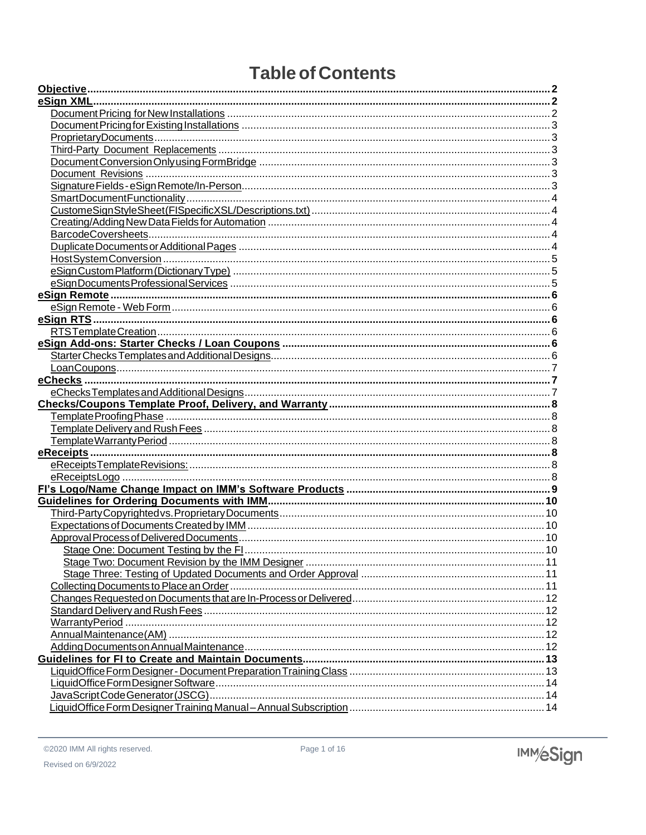# **Table of Contents**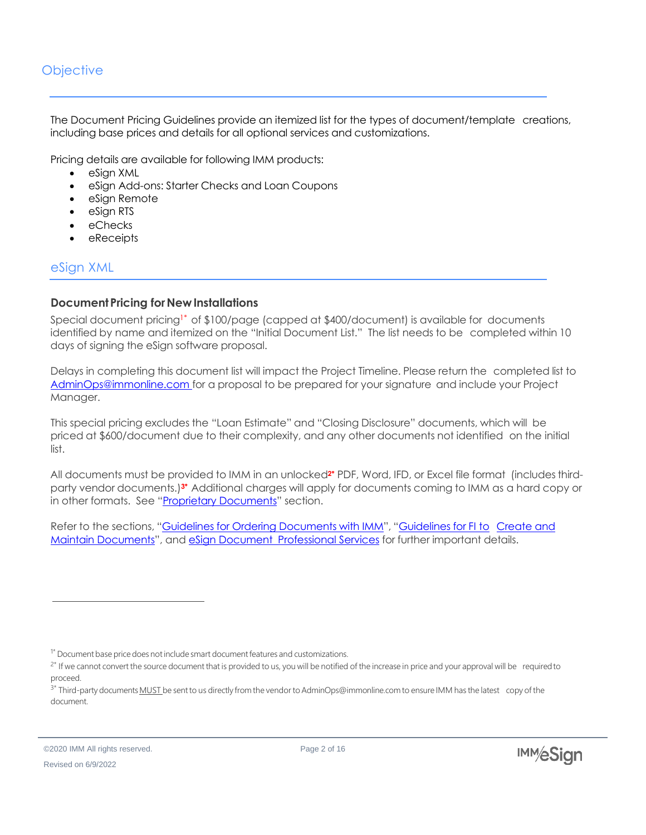# <span id="page-2-0"></span>**Objective**

The Document Pricing Guidelines provide an itemized list for the types of document/template creations, including base prices and details for all optional services and customizations.

Pricing details are available for following IMM products:

- eSign XML
- eSign Add-ons: Starter Checks and Loan Coupons
- eSian Remote
- eSign RTS
- eChecks
- eReceipts

# <span id="page-2-1"></span>eSign XML

#### <span id="page-2-2"></span>**Document Pricing for New Installations**

Special document pricing1\* of \$100/page (capped at \$400/document) is available for documents identified by name and itemized on the "Initial Document List." The list needs to be completed within 10 days of signing the eSign software proposal.

Delays in completing this document list will impact the Project Timeline. Please return the completed list to [AdminOps@immonline.com](mailto:AdminOps@immonline.com) for a proposal to be prepared for your signature and include your Project Manager.

This special pricing excludes the "Loan Estimate" and "Closing Disclosure" documents, which will be priced at \$600/document due to their complexity, and any other documents not identified on the initial list.

All documents must be provided to IMM in an unlocked**2\*** PDF, Word, IFD, or Excel file format (includesthirdparty vendor documents.)**3\*** Additional charges will apply for documents coming to IMM as a hard copy or in other formats. See "Proprietary Documents" section.

Refer to the sections, "Guidelines for Ordering Documents with IMM", "Guidelines for FI to Create and Maintain Documents", and eSign Document Professional Services for further important details.

<sup>&</sup>lt;sup>1\*</sup> Document base price does not include smart document features and customizations.

<sup>&</sup>lt;sup>2\*</sup> If we cannot convert the source document that is provided to us, you will be notified of the increase in price and your approval will be required to proceed.

<sup>&</sup>lt;sup>3\*</sup> Third-party documents **MUST** be sent to us directly from the vendor to AdminOps@immonline.com to ensure IMM has the latest copy of the document.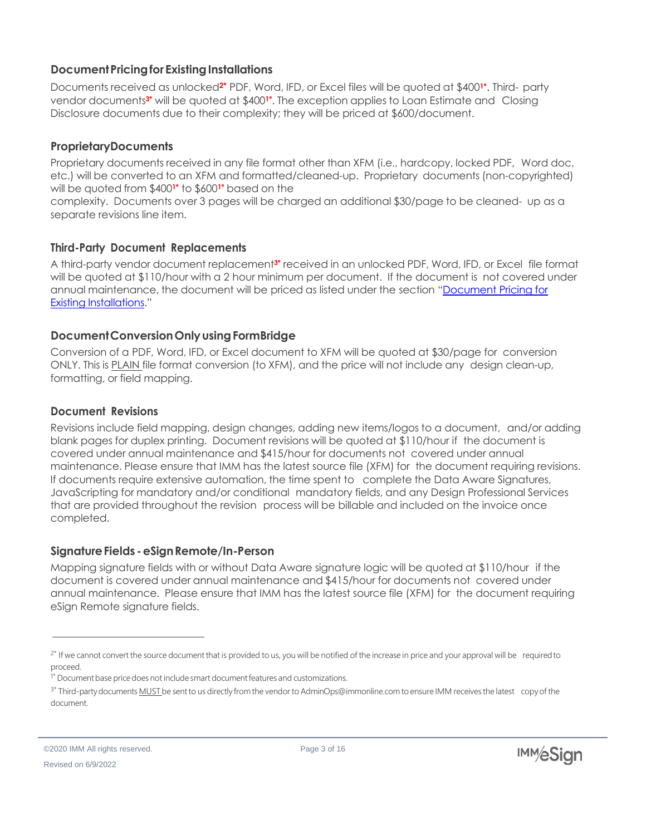#### <span id="page-3-0"></span>**DocumentPricingforExistingInstallations**

Documents received as unlocked**2\*** PDF, Word, IFD, or Excel files will be quoted at \$400**1\*** . Third- party vendor documents**3\*** will be quoted at \$400**1\*** . The exception applies to Loan Estimate and Closing Disclosure documents due to their complexity; they will be priced at \$600/document.

#### <span id="page-3-1"></span>**ProprietaryDocuments**

Proprietary documents received in any file format other than XFM (i.e., hardcopy, locked PDF, Word doc, etc.) will be converted to an XFM and formatted/cleaned-up. Proprietary documents (non-copyrighted) will be quoted from \$400**1\*** to \$600**1\*** based on the

complexity. Documents over 3 pages will be charged an additional \$30/page to be cleaned- up as a separate revisions line item.

# <span id="page-3-2"></span>**Third-Party Document Replacements**

A third-party vendor document replacement**3\*** received in an unlocked PDF, Word, IFD, or Excel file format will be quoted at \$110/hour with a 2 hour minimum per document. If the document is not covered under annual maintenance, the document will be priced as listed under the section "Document Pricing for Existing Installations."

#### <span id="page-3-3"></span>**DocumentConversionOnlyusingFormBridge**

Conversion of a PDF, Word, IFD, or Excel document to XFM will be quoted at \$30/page for conversion ONLY. This is PLAIN file format conversion (to XFM), and the price will not include any design clean-up, formatting, or field mapping.

# <span id="page-3-4"></span>**Document Revisions**

Revisions include field mapping, design changes, adding new items/logos to a document, and/or adding blank pages for duplex printing. Document revisions will be quoted at \$110/hour if the document is covered under annual maintenance and \$415/hour for documents not covered under annual maintenance. Please ensure that IMM has the latest source file (XFM) for the document requiring revisions. If documents require extensive automation, the time spent to complete the Data Aware Signatures, JavaScripting for mandatory and/or conditional mandatory fields, and any Design Professional Services that are provided throughout the revision process will be billable and included on the invoice once completed.

# <span id="page-3-5"></span>**SignatureFields -eSignRemote/In-Person**

Mapping signature fields with or without Data Aware signature logic will be quoted at \$110/hour if the document is covered under annual maintenance and \$415/hour for documents not covered under annual maintenance. Please ensure that IMM has the latest source file (XFM) for the document requiring eSign Remote signature fields.

<sup>&</sup>lt;sup>2\*</sup> If we cannot convert the source document that is provided to us, you will be notified of the increase in price and your approval will be required to proceed.

<sup>&</sup>lt;sup>1\*</sup> Document base price does not include smart document features and customizations.

<sup>&</sup>lt;sup>3\*</sup> Third-party documents MUST be sent to us directly from the vendor to AdminOps@immonline.com to ensure IMM receives the latest copy of the document.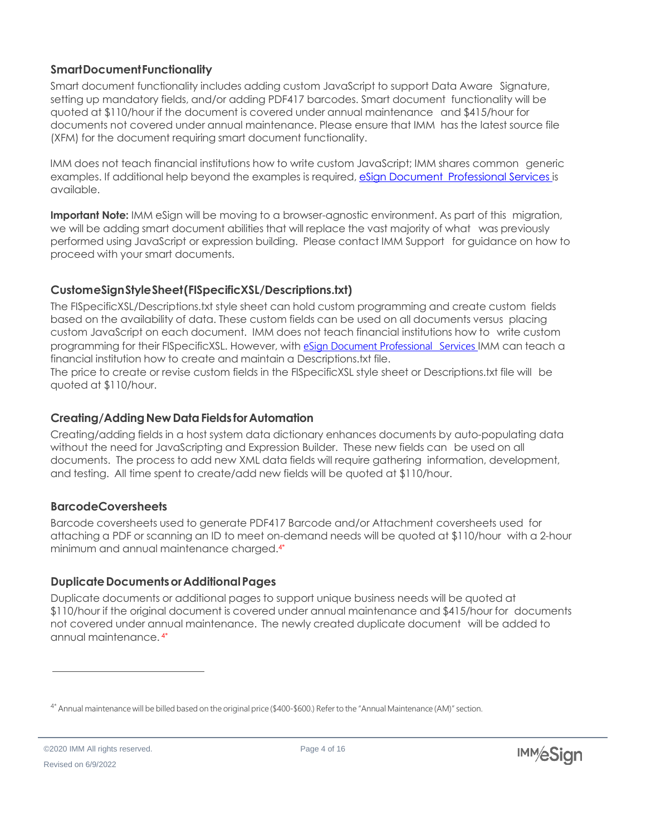#### <span id="page-4-0"></span>**SmartDocumentFunctionality**

Smart document functionality includes adding custom JavaScript to support Data Aware Signature, setting up mandatory fields, and/or adding PDF417 barcodes. Smart document functionality will be quoted at \$110/hour if the document is covered under annual maintenance and \$415/hour for documents not covered under annual maintenance. Please ensure that IMM has the latest source file (XFM) for the document requiring smart document functionality.

IMM does not teach financial institutions how to write custom JavaScript; IMM shares common generic examples. If additional help beyond the examples is required, eSign Document Professional Services is available.

**Important Note:** IMM eSign will be moving to a browser-agnostic environment. As part of this migration, we will be adding smart document abilities that will replace the vast majority of what was previously performed using JavaScript or expression building. Please contact IMM Support for guidance on how to proceed with your smart documents.

# <span id="page-4-1"></span>**CustomeSignStyleSheet(FISpecificXSL/Descriptions.txt)**

The FISpecificXSL/Descriptions.txt style sheet can hold custom programming and create custom fields based on the availability of data. These custom fields can be used on all documents versus placing custom JavaScript on each document. IMM does not teach financial institutions how to write custom programming for their FISpecificXSL. However, with eSign Document Professional Services IMM can teach a financial institution how to create and maintain a Descriptions.txt file.

The price to create or revise custom fields in the FISpecificXSL style sheet or Descriptions.txt file will be quoted at \$110/hour.

#### <span id="page-4-2"></span>**Creating/Adding New Data Fields for Automation**

Creating/adding fields in a host system data dictionary enhances documents by auto-populating data without the need for JavaScripting and Expression Builder. These new fields can be used on all documents. The process to add new XML data fields will require gathering information, development, and testing. All time spent to create/add new fields will be quoted at \$110/hour.

#### <span id="page-4-3"></span>**BarcodeCoversheets**

Barcode coversheets used to generate PDF417 Barcode and/or Attachment coversheets used for attaching a PDF or scanning an ID to meet on-demand needs will be quoted at \$110/hour with a 2-hour minimum and annual maintenance charged.4\*

# <span id="page-4-4"></span>**DuplicateDocumentsorAdditionalPages**

Duplicate documents or additional pages to support unique business needs will be quoted at \$110/hour if the original document is covered under annual maintenance and \$415/hour for documents not covered under annual maintenance. The newly created duplicate document will be added to annual maintenance. 4\*

©2020 IMM All rights reserved. Revised on 6/9/2022

<sup>4\*</sup> Annual maintenance will be billed based on the original price (\$400-\$600.) Referto the "Annual Maintenance (AM)" section.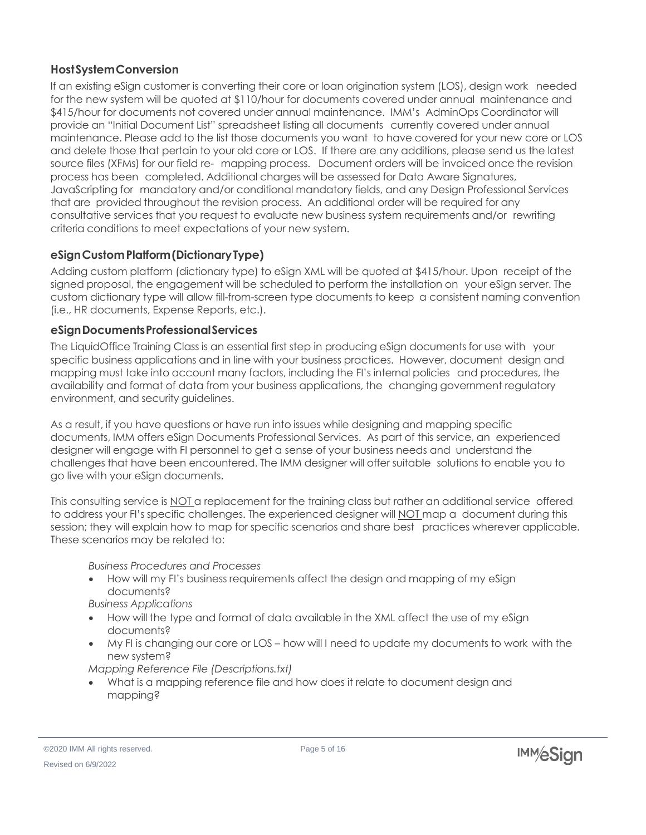# <span id="page-5-0"></span>**HostSystemConversion**

If an existing eSign customer is converting their core or loan origination system (LOS), design work needed for the new system will be quoted at \$110/hour for documents covered under annual maintenance and \$415/hour for documents not covered under annual maintenance. IMM's AdminOps Coordinator will provide an "Initial Document List" spreadsheet listing all documents currently covered under annual maintenance. Please add to the list those documents you want to have covered for your new core or LOS and delete those that pertain to your old core or LOS. If there are any additions, please send us the latest source files (XFMs) for our field re- mapping process. Document orders will be invoiced once the revision process has been completed. Additional charges will be assessed for Data Aware Signatures, JavaScripting for mandatory and/or conditional mandatory fields, and any Design Professional Services that are provided throughout the revision process. An additional order will be required for any consultative services that you request to evaluate new business system requirements and/or rewriting criteria conditions to meet expectations of your new system.

# <span id="page-5-1"></span>**eSignCustomPlatform(DictionaryType)**

Adding custom platform (dictionary type) to eSign XML will be quoted at \$415/hour. Upon receipt of the signed proposal, the engagement will be scheduled to perform the installation on your eSign server. The custom dictionary type will allow fill-from-screen type documents to keep a consistent naming convention (i.e., HR documents, Expense Reports, etc.).

#### <span id="page-5-2"></span>**eSignDocumentsProfessionalServices**

The LiquidOffice Training Class is an essential first step in producing eSign documents for use with your specific business applications and in line with your business practices. However, document design and mapping must take into account many factors, including the FI's internal policies and procedures, the availability and format of data from your business applications, the changing government regulatory environment, and security guidelines.

As a result, if you have questions or have run into issues while designing and mapping specific documents, IMM offers eSign Documents Professional Services. As part of this service, an experienced designer will engage with FI personnel to get a sense of your business needs and understand the challenges that have been encountered. The IMM designer will offer suitable solutions to enable you to go live with your eSign documents.

This consulting service is NOT a replacement for the training class but rather an additional service offered to address your FI's specific challenges. The experienced designer will NOT map a document during this session; they will explain how to map for specific scenarios and share best practices wherever applicable. These scenarios may be related to:

*Business Procedures and Processes*

- How will my FI's business requirements affect the design and mapping of my eSign documents?
- *Business Applications*
- How will the type and format of data available in the XML affect the use of my eSign documents?
- My FI is changing our core or LOS how will I need to update my documents to work with the new system?

*Mapping Reference File (Descriptions.txt)*

• What is a mapping reference file and how does it relate to document design and mapping?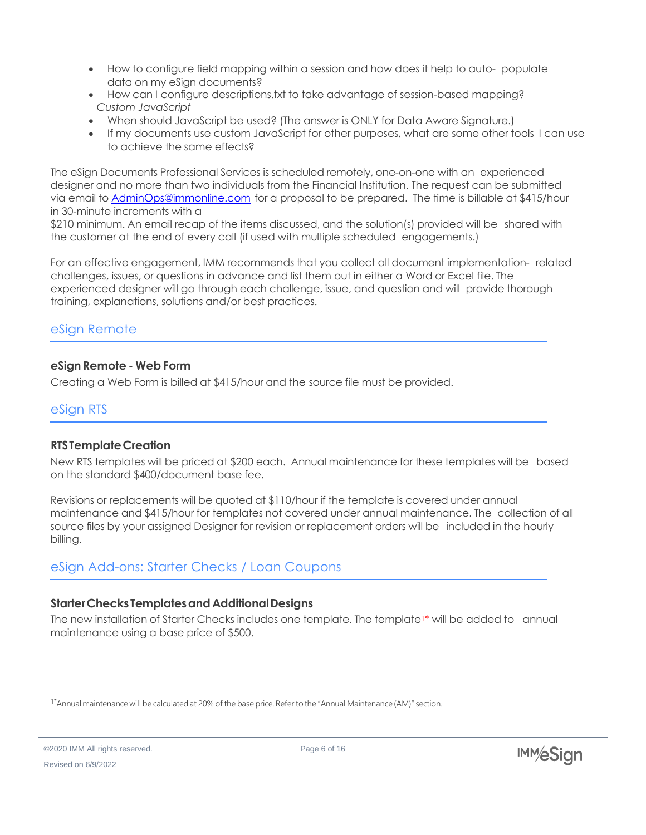- How to configure field mapping within a session and how does it help to auto- populate data on my eSign documents?
- How can I configure descriptions.txt to take advantage of session-based mapping? *Custom JavaScript*
- When should JavaScript be used? (The answer is ONLY for Data Aware Signature.)
- If my documents use custom JavaScript for other purposes, what are some other tools I can use to achieve the same effects?

The eSign Documents Professional Services is scheduled remotely, one-on-one with an experienced designer and no more than two individuals from the Financial Institution. The request can be submitted via email to [AdminOps@immonline.com](mailto:AdminOps@immonline.com) for a proposal to be prepared. The time is billable at \$415/hour in 30-minute increments with a

\$210 minimum. An email recap of the items discussed, and the solution(s) provided will be shared with the customer at the end of every call (if used with multiple scheduled engagements.)

For an effective engagement, IMM recommends that you collect all document implementation- related challenges, issues, or questions in advance and list them out in either a Word or Excel file. The experienced designer will go through each challenge, issue, and question and will provide thorough training, explanations, solutions and/or best practices.

# <span id="page-6-0"></span>eSign Remote

#### <span id="page-6-1"></span>**eSign Remote - Web Form**

Creating a Web Form is billed at \$415/hour and the source file must be provided.

#### <span id="page-6-2"></span>eSign RTS

#### <span id="page-6-3"></span>**RTSTemplateCreation**

New RTS templates will be priced at \$200 each. Annual maintenance for these templates will be based on the standard \$400/document base fee.

Revisions or replacements will be quoted at \$110/hour if the template is covered under annual maintenance and \$415/hour for templates not covered under annual maintenance. The collection of all source files by your assigned Designer for revision or replacement orders will be included in the hourly billing.

# <span id="page-6-4"></span>eSign Add-ons: Starter Checks / Loan Coupons

#### <span id="page-6-5"></span>**StarterChecks Templatesand AdditionalDesigns**

The new installation of Starter Checks includes one template. The template<sup>1\*</sup> will be added to annual maintenance using a base price of \$500.

<sup>&</sup>lt;sup>1\*</sup>Annual maintenance will be calculated at 20% of the base price. Refer to the "Annual Maintenance (AM)" section.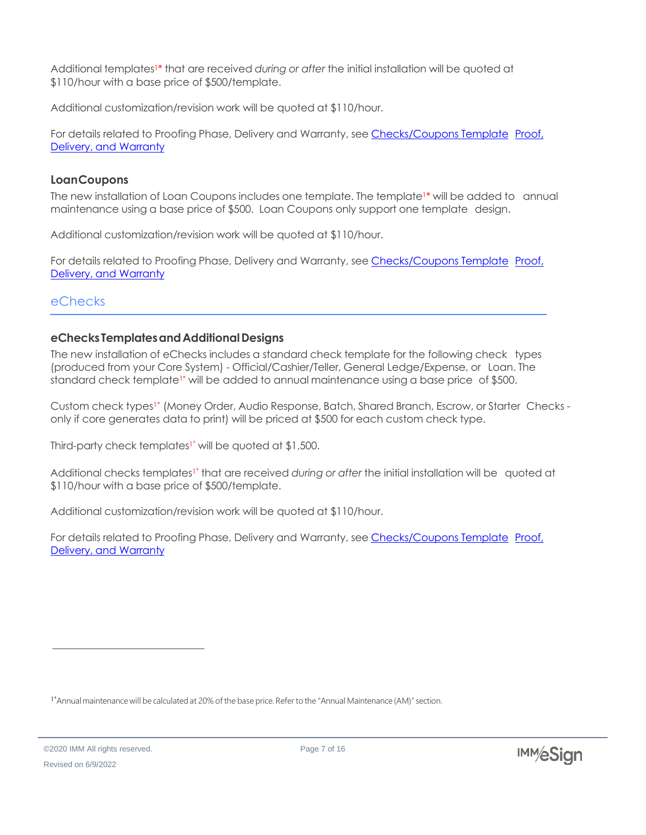Additional templates1\* that are received *during or after* the initial installation will be quoted at \$110/hour with a base price of \$500/template.

Additional customization/revision work will be quoted at \$110/hour.

For details related to Proofing Phase, Delivery and Warranty, see Checks/Coupons Template Proof, Delivery, and Warranty

#### <span id="page-7-0"></span>**LoanCoupons**

The new installation of Loan Coupons includes one template. The template<sup>1\*</sup> will be added to annual maintenance using a base price of \$500. Loan Coupons only support one template design.

Additional customization/revision work will be quoted at \$110/hour.

For details related to Proofing Phase, Delivery and Warranty, see Checks/Coupons Template Proof, Delivery, and Warranty

# <span id="page-7-1"></span>eChecks

# <span id="page-7-2"></span>**eChecks TemplatesandAdditionalDesigns**

The new installation of eChecks includes a standard check template for the following check types (produced from your Core System) - Official/Cashier/Teller, General Ledge/Expense, or Loan. The standard check template<sup>1\*</sup> will be added to annual maintenance using a base price of \$500.

Custom check types<sup>1\*</sup> (Money Order, Audio Response, Batch, Shared Branch, Escrow, or Starter Checks only if core generates data to print) will be priced at \$500 for each custom check type.

Third-party check templates<sup>1\*</sup> will be quoted at \$1,500.

Additional checks templates<sup>1\*</sup> that are received *during* or after the initial installation will be quoted at \$110/hour with a base price of \$500/template.

Additional customization/revision work will be quoted at \$110/hour.

For details related to Proofing Phase, Delivery and Warranty, see Checks/Coupons Template Proof, Delivery, and Warranty

<sup>&</sup>lt;sup>1\*</sup>Annual maintenance will be calculated at 20% of the base price. Refer to the "Annual Maintenance (AM)" section.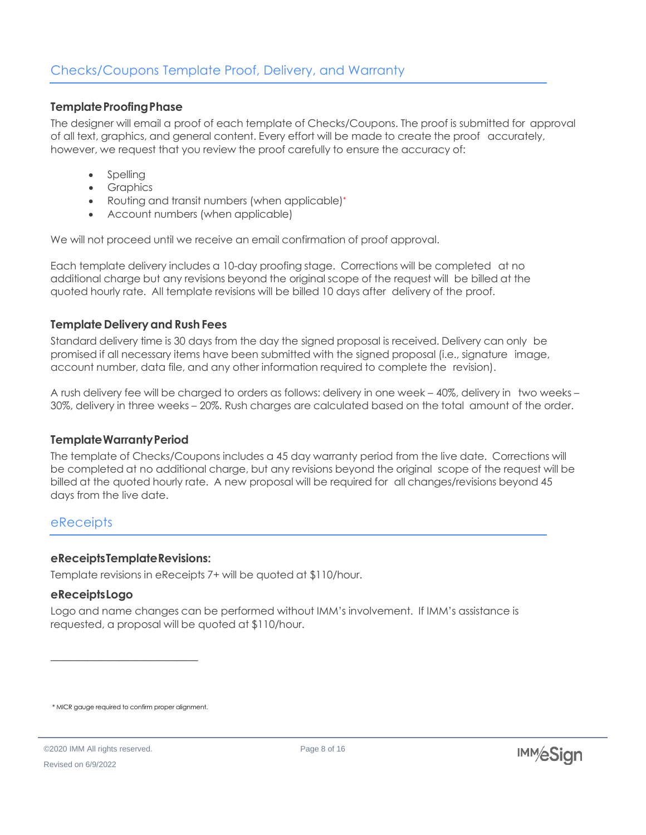#### <span id="page-8-1"></span><span id="page-8-0"></span>**Template Proofing Phase**

The designer will email a proof of each template of Checks/Coupons. The proof is submitted for approval of all text, graphics, and general content. Every effort will be made to create the proof accurately, however, we request that you review the proof carefully to ensure the accuracy of:

- **Spelling**
- Graphics
- Routing and transit numbers (when applicable)\*
- Account numbers (when applicable)

We will not proceed until we receive an email confirmation of proof approval.

Each template delivery includes a 10-day proofing stage. Corrections will be completed at no additional charge but any revisions beyond the original scope of the request will be billed at the quoted hourly rate. All template revisions will be billed 10 days after delivery of the proof.

#### <span id="page-8-2"></span>**Template Deliveryand RushFees**

Standard delivery time is 30 days from the day the signed proposal is received. Delivery can only be promised if all necessary items have been submitted with the signed proposal (i.e., signature image, account number, data file, and any other information required to complete the revision).

A rush delivery fee will be charged to orders as follows: delivery in one week – 40%, delivery in two weeks – 30%, delivery in three weeks – 20%. Rush charges are calculated based on the total amount of the order.

#### <span id="page-8-3"></span>**TemplateWarrantyPeriod**

The template of Checks/Coupons includes a 45 day warranty period from the live date. Corrections will be completed at no additional charge, but any revisions beyond the original scope of the request will be billed at the quoted hourly rate. A new proposal will be required for all changes/revisions beyond 45 days from the live date.

#### <span id="page-8-4"></span>**eReceipts**

#### <span id="page-8-5"></span>**eReceiptsTemplateRevisions:**

Template revisions in eReceipts 7+ will be quoted at \$110/hour.

#### <span id="page-8-6"></span>**eReceiptsLogo**

Logo and name changes can be performed without IMM's involvement. If IMM's assistance is requested, a proposal will be quoted at \$110/hour.

\* MICR gauge required to confirm proper alignment.

\_\_\_\_\_\_\_\_\_\_\_\_\_\_\_\_\_\_\_\_\_\_\_\_\_\_\_\_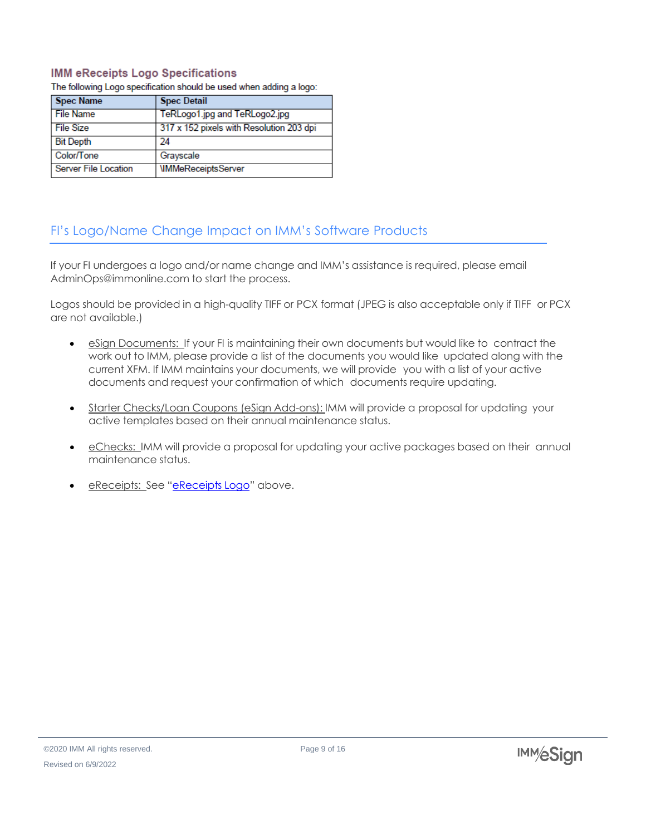#### **IMM eReceipts Logo Specifications**

The following Logo specification should be used when adding a logo:

| <b>Spec Name</b>     | <b>Spec Detail</b>                       |
|----------------------|------------------------------------------|
| <b>File Name</b>     | TeRLogo1.jpg and TeRLogo2.jpg            |
| File Size            | 317 x 152 pixels with Resolution 203 dpi |
| <b>Bit Depth</b>     | 24                                       |
| Color/Tone           | Grayscale                                |
| Server File Location | <b>IMMeReceiptsServer</b>                |

# <span id="page-9-0"></span>FI's Logo/Name Change Impact on IMM's Software Products

If your FI undergoes a logo and/or name change and IMM's assistance is required, please email [AdminOps@immonline.com](mailto:AdminOps@immonline.com) to start the process.

Logos should be provided in a high-quality TIFF or PCX format (JPEG is also acceptable only if TIFF or PCX are not available.)

- eSign Documents: If your FI is maintaining their own documents but would like to contract the work out to IMM, please provide a list of the documents you would like updated along with the current XFM. If IMM maintains your documents, we will provide you with a list of your active documents and request your confirmation of which documents require updating.
- Starter Checks/Loan Coupons (eSign Add-ons): IMM will provide a proposal for updating your active templates based on their annual maintenance status.
- eChecks: IMM will provide a proposal for updating your active packages based on their annual maintenance status.
- eReceipts: See "eReceipts Logo" above.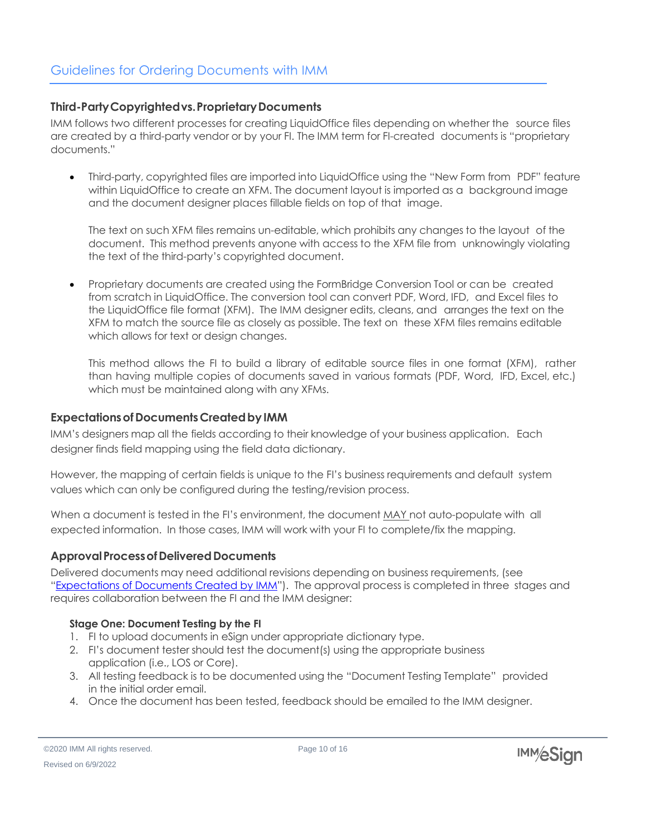#### <span id="page-10-1"></span><span id="page-10-0"></span>**Third-PartyCopyrightedvs.ProprietaryDocuments**

IMM follows two different processes for creating LiquidOffice files depending on whether the source files are created by a third-party vendor or by your FI. The IMM term for FI-created documents is "proprietary documents."

• Third-party, copyrighted files are imported into LiquidOffice using the "New Form from PDF" feature within LiquidOffice to create an XFM. The document layout is imported as a background image and the document designer places fillable fields on top of that image.

The text on such XFM files remains un-editable, which prohibits any changes to the layout of the document. This method prevents anyone with access to the XFM file from unknowingly violating the text of the third-party's copyrighted document.

• Proprietary documents are created using the FormBridge Conversion Tool or can be created from scratch in LiquidOffice. The conversion tool can convert PDF, Word, IFD, and Excel files to the LiquidOffice file format (XFM). The IMM designer edits, cleans, and arranges the text on the XFM to match the source file as closely as possible. The text on these XFM files remains editable which allows for text or design changes.

This method allows the FI to build a library of editable source files in one format (XFM), rather than having multiple copies of documents saved in various formats (PDF, Word, IFD, Excel, etc.) which must be maintained along with any XFMs.

#### <span id="page-10-2"></span>**Expectations of Documents Created by IMM**

IMM's designers map all the fields according to their knowledge of your business application. Each designer finds field mapping using the field data dictionary.

However, the mapping of certain fields is unique to the FI's business requirements and default system values which can only be configured during the testing/revision process.

When a document is tested in the FI's environment, the document MAY not auto-populate with all expected information. In those cases, IMM will work with your FI to complete/fix the mapping.

#### <span id="page-10-3"></span>**ApprovalProcessofDeliveredDocuments**

Delivered documents may need additional revisions depending on business requirements, (see "Expectations of Documents Created by IMM"). The approval process is completed in three stages and requires collaboration between the FI and the IMM designer:

#### <span id="page-10-4"></span>**Stage One: Document Testing by the FI**

- 1. FI to upload documents in eSign under appropriate dictionary type.
- 2. FI's document tester should test the document(s) using the appropriate business application (i.e., LOS or Core).
- 3. All testing feedback is to be documented using the "Document Testing Template" provided in the initial order email.
- 4. Once the document has been tested, feedback should be emailed to the IMM designer.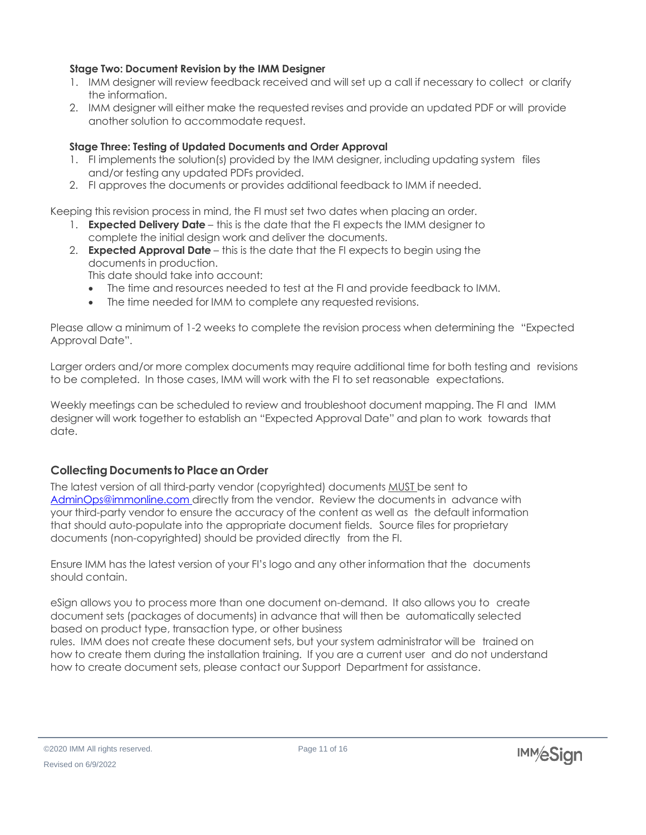#### <span id="page-11-0"></span>**Stage Two: Document Revision by the IMM Designer**

- 1. IMM designer will review feedback received and will set up a call if necessary to collect or clarify the information.
- 2. IMM designer will either make the requested revises and provide an updated PDF or will provide another solution to accommodate request.

#### <span id="page-11-1"></span>**Stage Three: Testing of Updated Documents and Order Approval**

- 1. FI implements the solution(s) provided by the IMM designer, including updating system files and/or testing any updated PDFs provided.
- 2. FI approves the documents or provides additional feedback to IMM if needed.

Keeping this revision process in mind, the FI must set two dates when placing an order.

- 1. **Expected Delivery Date** this is the date that the FI expects the IMM designer to complete the initial design work and deliver the documents.
- 2. **Expected Approval Date** this is the date that the FI expects to begin using the documents in production.

This date should take into account:

- The time and resources needed to test at the FI and provide feedback to IMM.
- The time needed for IMM to complete any requested revisions.

Please allow a minimum of 1-2 weeks to complete the revision process when determining the "Expected Approval Date".

Larger orders and/or more complex documents may require additional time for both testing and revisions to be completed. In those cases, IMM will work with the FI to set reasonable expectations.

Weekly meetings can be scheduled to review and troubleshoot document mapping. The FI and IMM designer will work together to establish an "Expected Approval Date" and plan to work towards that date.

#### <span id="page-11-2"></span>**Collecting Documents to Placean Order**

The latest version of all third-party vendor (copyrighted) documents MUST be sent to [AdminOps@immonline.com](mailto:AdminOps@immonline.com) directly from the vendor. Review the documents in advance with your third-party vendor to ensure the accuracy of the content as well as the default information that should auto-populate into the appropriate document fields. Source files for proprietary documents (non-copyrighted) should be provided directly from the FI.

Ensure IMM has the latest version of your FI's logo and any other information that the documents should contain.

eSign allows you to process more than one document on-demand. It also allows you to create document sets (packages of documents) in advance that will then be automatically selected based on product type, transaction type, or other business

rules. IMM does not create these document sets, but your system administrator will be trained on how to create them during the installation training. If you are a current user and do not understand how to create document sets, please contact our Support Department for assistance.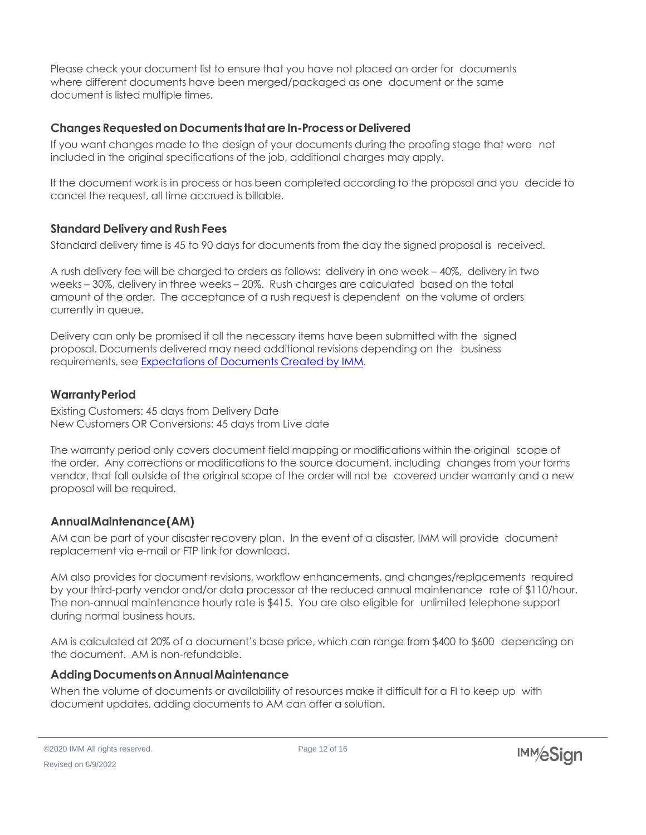Please check your document list to ensure that you have not placed an order for documents where different documents have been merged/packaged as one document or the same document is listed multiple times.

#### <span id="page-12-0"></span>**Changes RequestedonDocuments thatareIn-Processor Delivered**

If you want changes made to the design of your documents during the proofing stage that were not included in the original specifications of the job, additional charges may apply.

If the document work is in process or has been completed according to the proposal and you decide to cancel the request, all time accrued is billable.

# <span id="page-12-1"></span>**Standard Delivery and Rush Fees**

Standard delivery time is 45 to 90 days for documents from the day the signed proposal is received.

A rush delivery fee will be charged to orders as follows: delivery in one week – 40%, delivery in two weeks – 30%, delivery in three weeks – 20%. Rush charges are calculated based on the total amount of the order. The acceptance of a rush request is dependent on the volume of orders currently in queue.

Delivery can only be promised if all the necessary items have been submitted with the signed proposal. Documents delivered may need additional revisions depending on the business requirements, see Expectations of Documents Created by IMM.

# <span id="page-12-2"></span>**WarrantyPeriod**

Existing Customers: 45 days from Delivery Date New Customers OR Conversions: 45 days from Live date

The warranty period only covers document field mapping or modifications within the original scope of the order. Any corrections or modifications to the source document, including changes from your forms vendor, that fall outside of the original scope of the order will not be covered under warranty and a new proposal will be required.

# <span id="page-12-3"></span>**AnnualMaintenance(AM)**

AM can be part of your disaster recovery plan. In the event of a disaster, IMM will provide document replacement via e-mail or FTP link for download.

AM also provides for document revisions, workflow enhancements, and changes/replacements required by your third-party vendor and/or data processor at the reduced annual maintenance rate of \$110/hour. The non-annual maintenance hourly rate is \$415. You are also eligible for unlimited telephone support during normal business hours.

AM is calculated at 20% of a document's base price, which can range from \$400 to \$600 depending on the document. AM is non-refundable.

#### <span id="page-12-4"></span>**AddingDocumentsonAnnualMaintenance**

When the volume of documents or availability of resources make it difficult for a FI to keep up with document updates, adding documents to AM can offer a solution.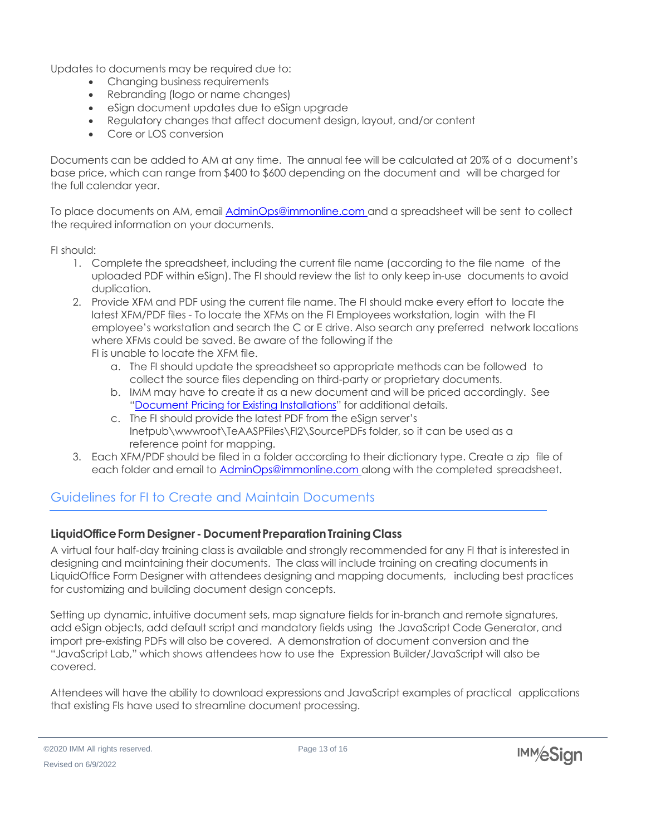Updates to documents may be required due to:

- Changing business requirements
- Rebranding (logo or name changes)
- eSign document updates due to eSign upgrade
- Regulatory changes that affect document design, layout, and/or content
- Core or LOS conversion

Documents can be added to AM at any time. The annual fee will be calculated at 20% of a document's base price, which can range from \$400 to \$600 depending on the document and will be charged for the full calendar year.

To place documents on AM, email **[AdminOps@immonline.com](mailto:AdminOps@immonline.com)** and a spreadsheet will be sent to collect the required information on your documents.

FI should:

- 1. Complete the spreadsheet, including the current file name (according to the file name of the uploaded PDF within eSign). The FI should review the list to only keep in-use documents to avoid duplication.
- 2. Provide XFM and PDF using the current file name. The FI should make every effort to locate the latest XFM/PDF files - To locate the XFMs on the FI Employees workstation, login with the FI employee's workstation and search the C or E drive. Also search any preferred network locations where XFMs could be saved. Be aware of the following if the FI is unable to locate the XFM file.
	- a. The FI should update the spreadsheet so appropriate methods can be followed to collect the source files depending on third-party or proprietary documents.
	- b. IMM may have to create it as a new document and will be priced accordingly. See "Document Pricing for Existing Installations" for additional details.
	- c. The FI should provide the latest PDF from the eSign server's Inetpub\wwwroot\TeAASPFiles\FI2\SourcePDFs folder, so it can be used as a reference point for mapping.
- 3. Each XFM/PDF should be filed in a folder according to their dictionary type. Create a zip file of each folder and email to **[AdminOps@immonline.com](mailto:AdminOps@immonline.com)** along with the completed spreadsheet.

# <span id="page-13-0"></span>Guidelines for FI to Create and Maintain Documents

#### <span id="page-13-1"></span>**LiquidOfficeFormDesigner - DocumentPreparationTrainingClass**

A virtual four half-day training class is available and strongly recommended for any FI that is interested in designing and maintaining their documents. The class will include training on creating documents in LiquidOffice Form Designer with attendees designing and mapping documents, including best practices for customizing and building document design concepts.

Setting up dynamic, intuitive document sets, map signature fields for in-branch and remote signatures, add eSign objects, add default script and mandatory fields using the JavaScript Code Generator, and import pre-existing PDFs will also be covered. A demonstration of document conversion and the "JavaScript Lab," which shows attendees how to use the Expression Builder/JavaScript will also be covered.

Attendees will have the ability to download expressions and JavaScript examples of practical applications that existing FIs have used to streamline document processing.

©2020 IMM All rights reserved. Revised on 6/9/2022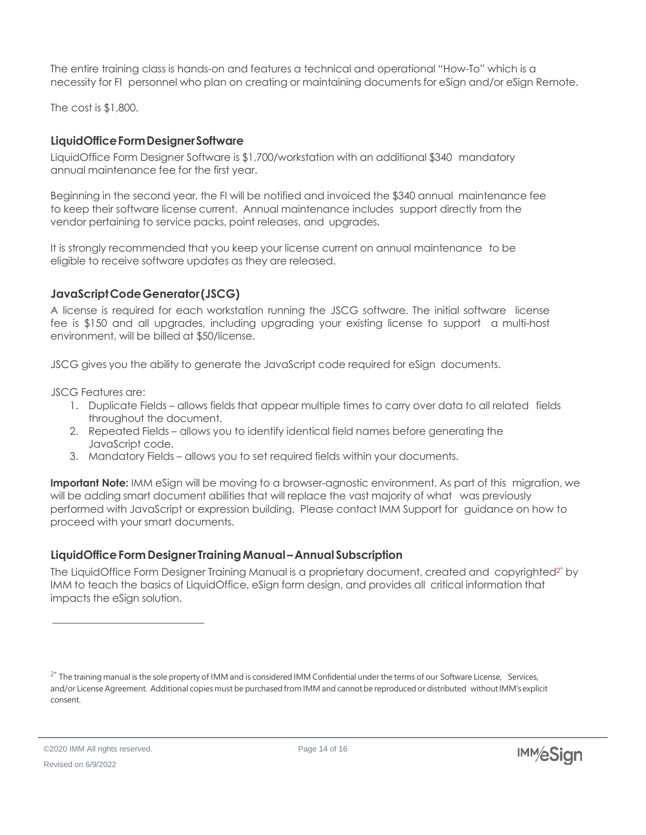The entire training class is hands-on and features a technical and operational "How-To" which is a necessity for FI personnel who plan on creating or maintaining documents for eSign and/or eSign Remote.

The cost is \$1,800.

#### <span id="page-14-0"></span>**LiquidOfficeFormDesignerSoftware**

LiquidOffice Form Designer Software is \$1,700/workstation with an additional \$340 mandatory annual maintenance fee for the first year.

Beginning in the second year, the FI will be notified and invoiced the \$340 annual maintenance fee to keep their software license current. Annual maintenance includes support directly from the vendor pertaining to service packs, point releases, and upgrades.

It is strongly recommended that you keep your license current on annual maintenance to be eligible to receive software updates as they are released.

# <span id="page-14-1"></span>**JavaScriptCodeGenerator(JSCG)**

A license is required for each workstation running the JSCG software. The initial software license fee is \$150 and all upgrades, including upgrading your existing license to support a multi-host environment, will be billed at \$50/license.

JSCG gives you the ability to generate the JavaScript code required for eSign documents.

JSCG Features are:

- 1. Duplicate Fields allows fields that appear multiple times to carry over data to all related fields throughout the document.
- 2. Repeated Fields allows you to identify identical field names before generating the JavaScript code.
- 3. Mandatory Fields allows you to set required fields within your documents.

**Important Note:** IMM eSign will be moving to a browser-agnostic environment. As part of this migration, we will be adding smart document abilities that will replace the vast majority of what was previously performed with JavaScript or expression building. Please contact IMM Support for guidance on how to proceed with your smart documents.

# <span id="page-14-2"></span>**LiquidOfficeFormDesigner TrainingManual –Annual Subscription**

The LiquidOffice Form Designer Training Manual is a proprietary document, created and copyrighted<sup>2\*</sup> by IMM to teach the basics of LiquidOffice, eSign form design, and provides all critical information that impacts the eSign solution.



<sup>&</sup>lt;sup>2\*</sup> The training manual is the sole property of IMM and is considered IMM Confidential under the terms of our Software License, Services, and/or License Agreement. Additional copies must be purchased from IMM and cannot be reproduced or distributed without IMM's explicit consent.